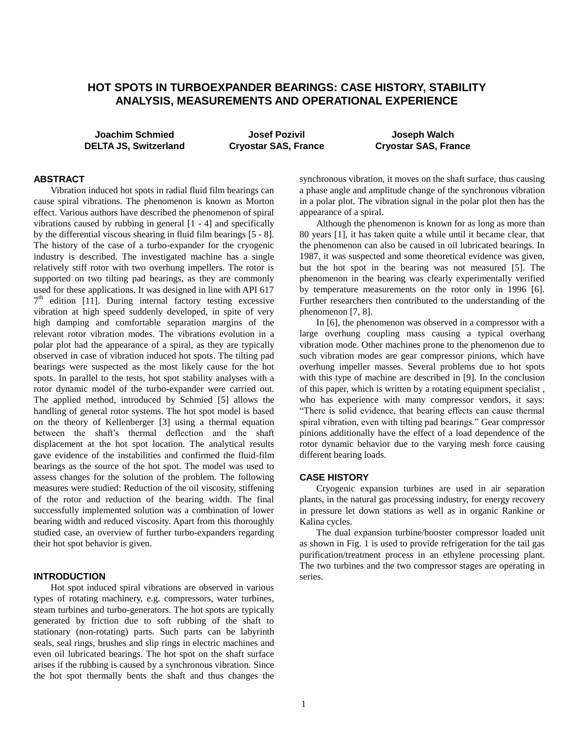# **HOT SPOTS IN TURBOEXPANDER BEARINGS: CASE HISTORY, STABILITY ANALYSIS, MEASUREMENTS AND OPERATIONAL EXPERIENCE**

**Joachim Schmied DELTA JS, Switzerland**

**Josef Pozivil Cryostar SAS, France**

**Joseph Walch Cryostar SAS, France**

# **ABSTRACT**

Vibration induced hot spots in radial fluid film bearings can cause spiral vibrations. The phenomenon is known as Morton effect. Various authors have described the phenomenon of spiral vibrations caused by rubbing in general [1 - 4] and specifically by the differential viscous shearing in fluid film bearings [5 - 8]. The history of the case of a turbo-expander for the cryogenic industry is described. The investigated machine has a single relatively stiff rotor with two overhung impellers. The rotor is supported on two tilting pad bearings, as they are commonly used for these applications. It was designed in line with API 617 7<sup>th</sup> edition [11]. During internal factory testing excessive vibration at high speed suddenly developed, in spite of very high damping and comfortable separation margins of the relevant rotor vibration modes. The vibrations evolution in a polar plot had the appearance of a spiral, as they are typically observed in case of vibration induced hot spots. The tilting pad bearings were suspected as the most likely cause for the hot spots. In parallel to the tests, hot spot stability analyses with a rotor dynamic model of the turbo-expander were carried out. The applied method, introduced by Schmied [5] allows the handling of general rotor systems. The hot spot model is based on the theory of Kellenberger [3] using a thermal equation between the shaft's thermal deflection and the shaft displacement at the hot spot location. The analytical results gave evidence of the instabilities and confirmed the fluid-film bearings as the source of the hot spot. The model was used to assess changes for the solution of the problem. The following measures were studied: Reduction of the oil viscosity, stiffening of the rotor and reduction of the bearing width. The final successfully implemented solution was a combination of lower bearing width and reduced viscosity. Apart from this thoroughly studied case, an overview of further turbo-expanders regarding their hot spot behavior is given.

# **INTRODUCTION**

Hot spot induced spiral vibrations are observed in various types of rotating machinery, e.g. compressors, water turbines, steam turbines and turbo-generators. The hot spots are typically generated by friction due to soft rubbing of the shaft to stationary (non-rotating) parts. Such parts can be labyrinth seals, seal rings, brushes and slip rings in electric machines and even oil lubricated bearings. The hot spot on the shaft surface arises if the rubbing is caused by a synchronous vibration. Since the hot spot thermally bents the shaft and thus changes the

synchronous vibration, it moves on the shaft surface, thus causing a phase angle and amplitude change of the synchronous vibration in a polar plot. The vibration signal in the polar plot then has the appearance of a spiral.

Although the phenomenon is known for as long as more than 80 years [1], it has taken quite a while until it became clear, that the phenomenon can also be caused in oil lubricated bearings. In 1987, it was suspected and some theoretical evidence was given, but the hot spot in the bearing was not measured [5]. The phenomenon in the bearing was clearly experimentally verified by temperature measurements on the rotor only in 1996 [6]. Further researchers then contributed to the understanding of the phenomenon [7, 8].

In [6], the phenomenon was observed in a compressor with a large overhung coupling mass causing a typical overhang vibration mode. Other machines prone to the phenomenon due to such vibration modes are gear compressor pinions, which have overhung impeller masses. Several problems due to hot spots with this type of machine are described in [9]. In the conclusion of this paper, which is written by a rotating equipment specialist , who has experience with many compressor vendors, it says: ―There is solid evidence, that bearing effects can cause thermal spiral vibration, even with tilting pad bearings." Gear compressor pinions additionally have the effect of a load dependence of the rotor dynamic behavior due to the varying mesh force causing different bearing loads.

### **CASE HISTORY**

Cryogenic expansion turbines are used in air separation plants, in the natural gas processing industry, for energy recovery in pressure let down stations as well as in organic Rankine or Kalina cycles.

The dual expansion turbine/booster compressor loaded unit as shown in Fig. 1 is used to provide refrigeration for the tail gas purification/treatment process in an ethylene processing plant. The two turbines and the two compressor stages are operating in series.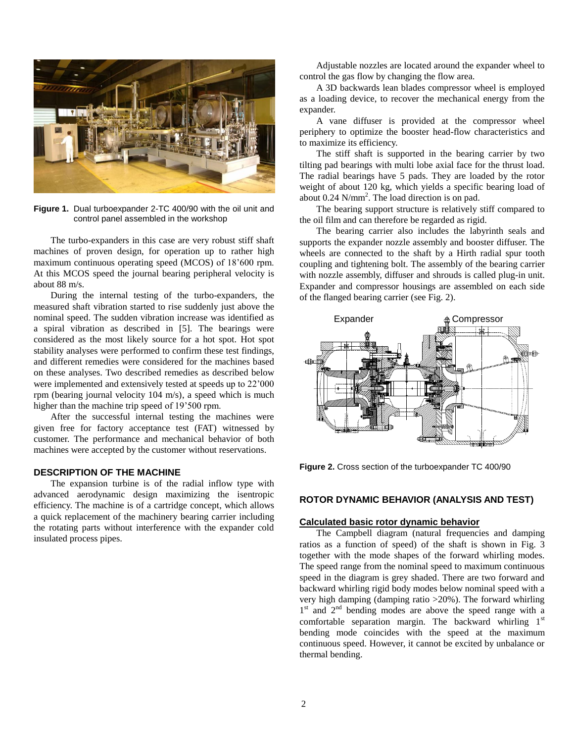

**Figure 1.** Dual turboexpander 2-TC 400/90 with the oil unit and control panel assembled in the workshop

The turbo-expanders in this case are very robust stiff shaft machines of proven design, for operation up to rather high maximum continuous operating speed (MCOS) of 18'600 rpm. At this MCOS speed the journal bearing peripheral velocity is about 88 m/s.

During the internal testing of the turbo-expanders, the measured shaft vibration started to rise suddenly just above the nominal speed. The sudden vibration increase was identified as a spiral vibration as described in [5]. The bearings were considered as the most likely source for a hot spot. Hot spot stability analyses were performed to confirm these test findings, and different remedies were considered for the machines based on these analyses. Two described remedies as described below were implemented and extensively tested at speeds up to 22'000 rpm (bearing journal velocity 104 m/s), a speed which is much higher than the machine trip speed of 19'500 rpm.

After the successful internal testing the machines were given free for factory acceptance test (FAT) witnessed by customer. The performance and mechanical behavior of both machines were accepted by the customer without reservations.

### **DESCRIPTION OF THE MACHINE**

The expansion turbine is of the radial inflow type with advanced aerodynamic design maximizing the isentropic efficiency. The machine is of a cartridge concept, which allows a quick replacement of the machinery bearing carrier including the rotating parts without interference with the expander cold insulated process pipes.

Adjustable nozzles are located around the expander wheel to control the gas flow by changing the flow area.

A 3D backwards lean blades compressor wheel is employed as a loading device, to recover the mechanical energy from the expander.

A vane diffuser is provided at the compressor wheel periphery to optimize the booster head-flow characteristics and to maximize its efficiency.

The stiff shaft is supported in the bearing carrier by two tilting pad bearings with multi lobe axial face for the thrust load. The radial bearings have 5 pads. They are loaded by the rotor weight of about 120 kg, which yields a specific bearing load of about  $0.24$  N/mm<sup>2</sup>. The load direction is on pad.

The bearing support structure is relatively stiff compared to the oil film and can therefore be regarded as rigid.

The bearing carrier also includes the labyrinth seals and supports the expander nozzle assembly and booster diffuser. The wheels are connected to the shaft by a Hirth radial spur tooth coupling and tightening bolt. The assembly of the bearing carrier with nozzle assembly, diffuser and shrouds is called plug-in unit. Expander and compressor housings are assembled on each side of the flanged bearing carrier (see Fig. 2).



**Figure 2.** Cross section of the turboexpander TC 400/90

# **ROTOR DYNAMIC BEHAVIOR (ANALYSIS AND TEST)**

## **Calculated basic rotor dynamic behavior**

The Campbell diagram (natural frequencies and damping ratios as a function of speed) of the shaft is shown in Fig. 3 together with the mode shapes of the forward whirling modes. The speed range from the nominal speed to maximum continuous speed in the diagram is grey shaded. There are two forward and backward whirling rigid body modes below nominal speed with a very high damping (damping ratio >20%). The forward whirling 1<sup>st</sup> and 2<sup>nd</sup> bending modes are above the speed range with a comfortable separation margin. The backward whirling  $1<sup>st</sup>$ bending mode coincides with the speed at the maximum continuous speed. However, it cannot be excited by unbalance or thermal bending.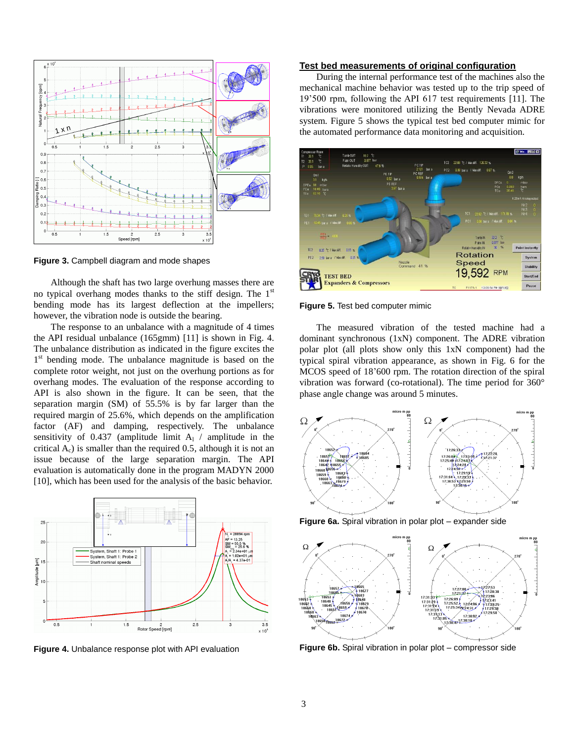

**Figure 3.** Campbell diagram and mode shapes

Although the shaft has two large overhung masses there are no typical overhang modes thanks to the stiff design. The  $1<sup>st</sup>$ bending mode has its largest deflection at the impellers; however, the vibration node is outside the bearing.

The response to an unbalance with a magnitude of 4 times the API residual unbalance (165gmm) [11] is shown in Fig. 4. The unbalance distribution as indicated in the figure excites the 1<sup>st</sup> bending mode. The unbalance magnitude is based on the complete rotor weight, not just on the overhung portions as for overhang modes. The evaluation of the response according to API is also shown in the figure. It can be seen, that the separation margin (SM) of 55.5% is by far larger than the required margin of 25.6%, which depends on the amplification factor (AF) and damping, respectively. The unbalance sensitivity of 0.437 (amplitude limit  $A_1$  / amplitude in the critical  $A_c$ ) is smaller than the required 0.5, although it is not an issue because of the large separation margin. The API evaluation is automatically done in the program MADYN 2000 [10], which has been used for the analysis of the basic behavior.



**Figure 4.** Unbalance response plot with API evaluation

# **Test bed measurements of original configuration**

During the internal performance test of the machines also the mechanical machine behavior was tested up to the trip speed of 19'500 rpm, following the API 617 test requirements [11]. The vibrations were monitored utilizing the Bently Nevada ADRE system. Figure 5 shows the typical test bed computer mimic for the automated performance data monitoring and acquisition.



**Figure 5.** Test bed computer mimic

The measured vibration of the tested machine had a dominant synchronous (1xN) component. The ADRE vibration polar plot (all plots show only this 1xN component) had the typical spiral vibration appearance, as shown in Fig. 6 for the MCOS speed of 18'600 rpm. The rotation direction of the spiral vibration was forward (co-rotational). The time period for 360° phase angle change was around 5 minutes.



**Figure 6a.** Spiral vibration in polar plot – expander side



**Figure 6b.** Spiral vibration in polar plot – compressor side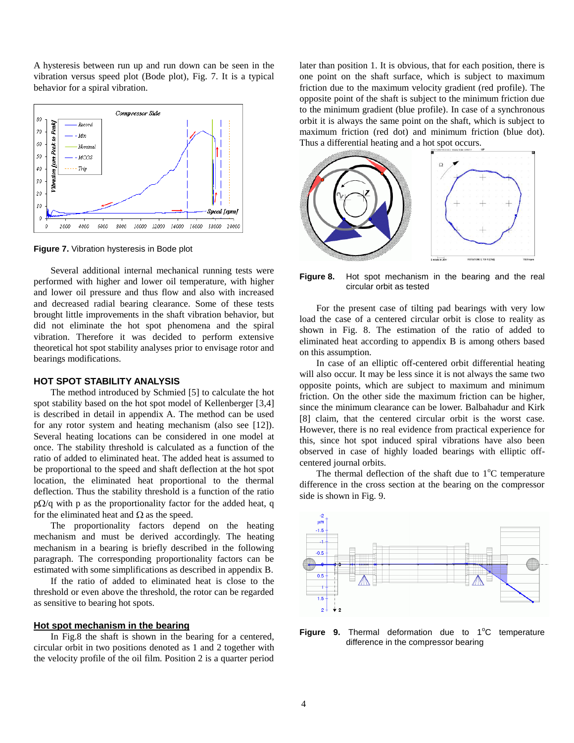A hysteresis between run up and run down can be seen in the vibration versus speed plot (Bode plot), Fig. 7. It is a typical behavior for a spiral vibration.



**Figure 7.** Vibration hysteresis in Bode plot

Several additional internal mechanical running tests were performed with higher and lower oil temperature, with higher and lower oil pressure and thus flow and also with increased and decreased radial bearing clearance. Some of these tests brought little improvements in the shaft vibration behavior, but did not eliminate the hot spot phenomena and the spiral vibration. Therefore it was decided to perform extensive theoretical hot spot stability analyses prior to envisage rotor and bearings modifications.

## **HOT SPOT STABILITY ANALYSIS**

The method introduced by Schmied [5] to calculate the hot spot stability based on the hot spot model of Kellenberger [3,4] is described in detail in appendix A. The method can be used for any rotor system and heating mechanism (also see [12]). Several heating locations can be considered in one model at once. The stability threshold is calculated as a function of the ratio of added to eliminated heat. The added heat is assumed to be proportional to the speed and shaft deflection at the hot spot location, the eliminated heat proportional to the thermal deflection. Thus the stability threshold is a function of the ratio  $p\Omega/q$  with p as the proportionality factor for the added heat, q for the eliminated heat and  $\Omega$  as the speed.

The proportionality factors depend on the heating mechanism and must be derived accordingly. The heating mechanism in a bearing is briefly described in the following paragraph. The corresponding proportionality factors can be estimated with some simplifications as described in appendix B.

If the ratio of added to eliminated heat is close to the threshold or even above the threshold, the rotor can be regarded as sensitive to bearing hot spots.

## **Hot spot mechanism in the bearing**

In Fig.8 the shaft is shown in the bearing for a centered, circular orbit in two positions denoted as 1 and 2 together with the velocity profile of the oil film. Position 2 is a quarter period

later than position 1. It is obvious, that for each position, there is one point on the shaft surface, which is subject to maximum friction due to the maximum velocity gradient (red profile). The opposite point of the shaft is subject to the minimum friction due to the minimum gradient (blue profile). In case of a synchronous orbit it is always the same point on the shaft, which is subject to maximum friction (red dot) and minimum friction (blue dot). Thus a differential heating and a hot spot occurs.



**Figure 8.** Hot spot mechanism in the bearing and the real circular orbit as tested

For the present case of tilting pad bearings with very low load the case of a centered circular orbit is close to reality as shown in Fig. 8. The estimation of the ratio of added to eliminated heat according to appendix B is among others based on this assumption.

In case of an elliptic off-centered orbit differential heating will also occur. It may be less since it is not always the same two opposite points, which are subject to maximum and minimum friction. On the other side the maximum friction can be higher, since the minimum clearance can be lower. Balbahadur and Kirk [8] claim, that the centered circular orbit is the worst case. However, there is no real evidence from practical experience for this, since hot spot induced spiral vibrations have also been observed in case of highly loaded bearings with elliptic offcentered journal orbits.

The thermal deflection of the shaft due to  $1^{\circ}$ C temperature difference in the cross section at the bearing on the compressor side is shown in Fig. 9.



**Figure 9.** Thermal deformation due to 1<sup>°</sup>C temperature difference in the compressor bearing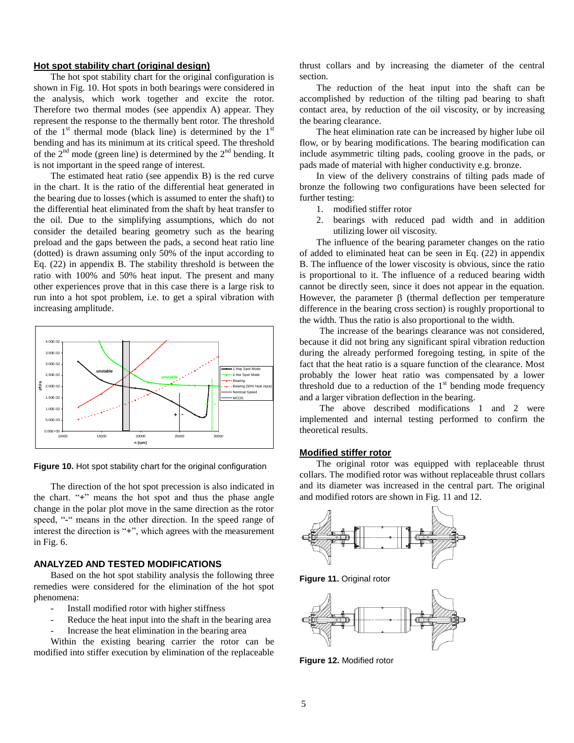#### **Hot spot stability chart (original design)**

The hot spot stability chart for the original configuration is shown in Fig. 10. Hot spots in both bearings were considered in the analysis, which work together and excite the rotor. Therefore two thermal modes (see appendix A) appear. They represent the response to the thermally bent rotor. The threshold of the  $1<sup>st</sup>$  thermal mode (black line) is determined by the  $1<sup>st</sup>$ bending and has its minimum at its critical speed. The threshold of the  $2^{nd}$  mode (green line) is determined by the  $2^{nd}$  bending. It is not important in the speed range of interest.

The estimated heat ratio (see appendix B) is the red curve in the chart. It is the ratio of the differential heat generated in the bearing due to losses (which is assumed to enter the shaft) to the differential heat eliminated from the shaft by heat transfer to the oil. Due to the simplifying assumptions, which do not consider the detailed bearing geometry such as the bearing preload and the gaps between the pads, a second heat ratio line (dotted) is drawn assuming only 50% of the input according to Eq. (22) in appendix B. The stability threshold is between the ratio with 100% and 50% heat input. The present and many other experiences prove that in this case there is a large risk to run into a hot spot problem, i.e. to get a spiral vibration with increasing amplitude.



**Figure 10.** Hot spot stability chart for the original configuration

The direction of the hot spot precession is also indicated in the chart. "<sup>+</sup>" means the hot spot and thus the phase angle change in the polar plot move in the same direction as the rotor speed, "-" means in the other direction. In the speed range of interest the direction is "+", which agrees with the measurement in Fig. 6.

### **ANALYZED AND TESTED MODIFICATIONS**

Based on the hot spot stability analysis the following three remedies were considered for the elimination of the hot spot phenomena:

- Install modified rotor with higher stiffness
- Reduce the heat input into the shaft in the bearing area
- Increase the heat elimination in the bearing area

Within the existing bearing carrier the rotor can be modified into stiffer execution by elimination of the replaceable thrust collars and by increasing the diameter of the central section.

The reduction of the heat input into the shaft can be accomplished by reduction of the tilting pad bearing to shaft contact area, by reduction of the oil viscosity, or by increasing the bearing clearance.

The heat elimination rate can be increased by higher lube oil flow, or by bearing modifications. The bearing modification can include asymmetric tilting pads, cooling groove in the pads, or pads made of material with higher conductivity e.g. bronze.

In view of the delivery constrains of tilting pads made of bronze the following two configurations have been selected for further testing:

- 1. modified stiffer rotor
- 2. bearings with reduced pad width and in addition utilizing lower oil viscosity.

The influence of the bearing parameter changes on the ratio of added to eliminated heat can be seen in Eq. (22) in appendix B. The influence of the lower viscosity is obvious, since the ratio is proportional to it. The influence of a reduced bearing width cannot be directly seen, since it does not appear in the equation. However, the parameter  $\beta$  (thermal deflection per temperature difference in the bearing cross section) is roughly proportional to the width. Thus the ratio is also proportional to the width.

The increase of the bearings clearance was not considered, because it did not bring any significant spiral vibration reduction during the already performed foregoing testing, in spite of the fact that the heat ratio is a square function of the clearance. Most probably the lower heat ratio was compensated by a lower threshold due to a reduction of the  $1<sup>st</sup>$  bending mode frequency and a larger vibration deflection in the bearing.

The above described modifications 1 and 2 were implemented and internal testing performed to confirm the theoretical results.

#### **Modified stiffer rotor**

The original rotor was equipped with replaceable thrust collars. The modified rotor was without replaceable thrust collars and its diameter was increased in the central part. The original and modified rotors are shown in Fig. 11 and 12.



**Figure 11.** Original rotor



**Figure 12.** Modified rotor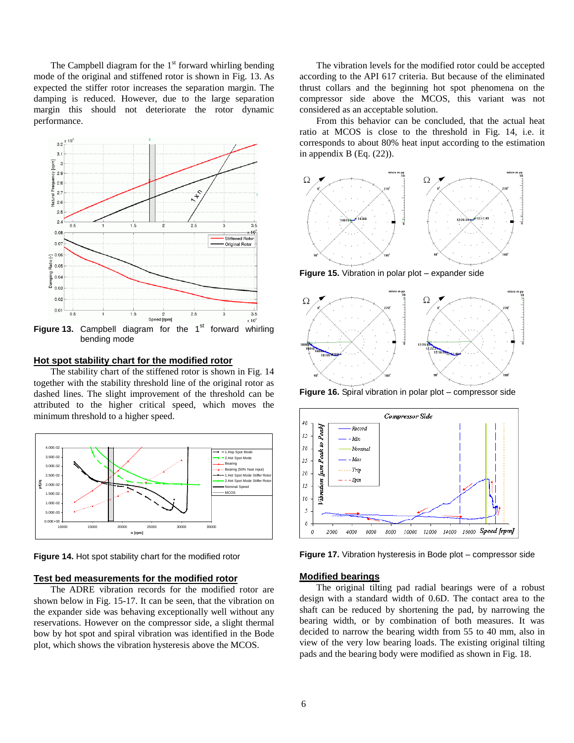The Campbell diagram for the  $1<sup>st</sup>$  forward whirling bending mode of the original and stiffened rotor is shown in Fig. 13. As expected the stiffer rotor increases the separation margin. The damping is reduced. However, due to the large separation margin this should not deteriorate the rotor dynamic performance.



Figure 13. Campbell diagram for the 1<sup>st</sup> forward whirling bending mode

# **Hot spot stability chart for the modified rotor**

The stability chart of the stiffened rotor is shown in Fig. 14 together with the stability threshold line of the original rotor as dashed lines. The slight improvement of the threshold can be attributed to the higher critical speed, which moves the minimum threshold to a higher speed.



**Figure 14.** Hot spot stability chart for the modified rotor

#### **Test bed measurements for the modified rotor**

The ADRE vibration records for the modified rotor are shown below in Fig. 15-17. It can be seen, that the vibration on the expander side was behaving exceptionally well without any reservations. However on the compressor side, a slight thermal bow by hot spot and spiral vibration was identified in the Bode plot, which shows the vibration hysteresis above the MCOS.

The vibration levels for the modified rotor could be accepted according to the API 617 criteria. But because of the eliminated thrust collars and the beginning hot spot phenomena on the compressor side above the MCOS, this variant was not considered as an acceptable solution.

From this behavior can be concluded, that the actual heat ratio at MCOS is close to the threshold in Fig. 14, i.e. it corresponds to about 80% heat input according to the estimation in appendix  $B$  (Eq.  $(22)$ ).



**Figure 15.** Vibration in polar plot – expander side



**Figure 16.** Spiral vibration in polar plot – compressor side



**Figure 17.** Vibration hysteresis in Bode plot – compressor side

#### **Modified bearings**

The original tilting pad radial bearings were of a robust design with a standard width of 0.6D. The contact area to the shaft can be reduced by shortening the pad, by narrowing the bearing width, or by combination of both measures. It was decided to narrow the bearing width from 55 to 40 mm, also in view of the very low bearing loads. The existing original tilting pads and the bearing body were modified as shown in Fig. 18.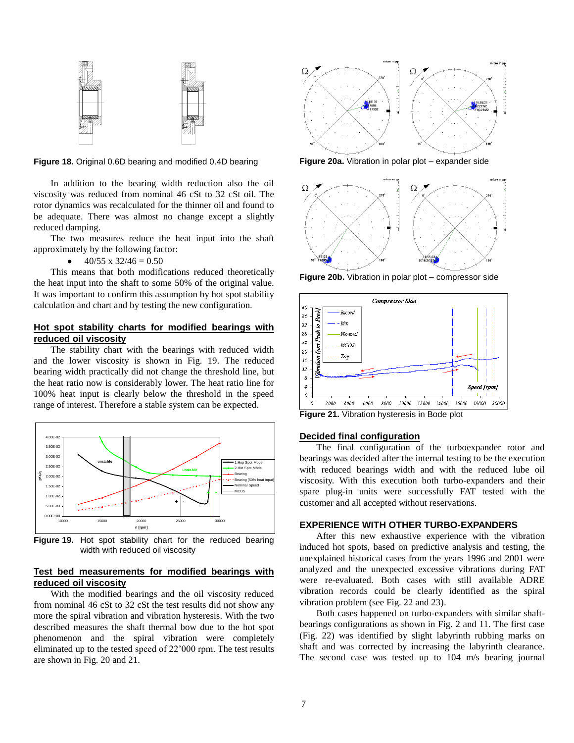

**Figure 18.** Original 0.6D bearing and modified 0.4D bearing

In addition to the bearing width reduction also the oil viscosity was reduced from nominal 46 cSt to 32 cSt oil. The rotor dynamics was recalculated for the thinner oil and found to be adequate. There was almost no change except a slightly reduced damping.

The two measures reduce the heat input into the shaft approximately by the following factor:

> $40/55 \times 32/46 = 0.50$  $\bullet$

This means that both modifications reduced theoretically the heat input into the shaft to some 50% of the original value. It was important to confirm this assumption by hot spot stability calculation and chart and by testing the new configuration.

# **Hot spot stability charts for modified bearings with reduced oil viscosity**

The stability chart with the bearings with reduced width and the lower viscosity is shown in Fig. 19. The reduced bearing width practically did not change the threshold line, but the heat ratio now is considerably lower. The heat ratio line for 100% heat input is clearly below the threshold in the speed range of interest. Therefore a stable system can be expected.



**Figure 19.** Hot spot stability chart for the reduced bearing width with reduced oil viscosity

# **Test bed measurements for modified bearings with reduced oil viscosity**

With the modified bearings and the oil viscosity reduced from nominal 46 cSt to 32 cSt the test results did not show any more the spiral vibration and vibration hysteresis. With the two described measures the shaft thermal bow due to the hot spot phenomenon and the spiral vibration were completely eliminated up to the tested speed of 22'000 rpm. The test results are shown in Fig. 20 and 21.



**Figure 20a.** Vibration in polar plot – expander side



**Figure 20b.** Vibration in polar plot – compressor side



#### **Decided final configuration**

The final configuration of the turboexpander rotor and bearings was decided after the internal testing to be the execution with reduced bearings width and with the reduced lube oil viscosity. With this execution both turbo-expanders and their spare plug-in units were successfully FAT tested with the customer and all accepted without reservations.

### **EXPERIENCE WITH OTHER TURBO-EXPANDERS**

After this new exhaustive experience with the vibration induced hot spots, based on predictive analysis and testing, the unexplained historical cases from the years 1996 and 2001 were analyzed and the unexpected excessive vibrations during FAT were re-evaluated. Both cases with still available ADRE vibration records could be clearly identified as the spiral vibration problem (see Fig. 22 and 23).

Both cases happened on turbo-expanders with similar shaftbearings configurations as shown in Fig. 2 and 11. The first case (Fig. 22) was identified by slight labyrinth rubbing marks on shaft and was corrected by increasing the labyrinth clearance. The second case was tested up to 104 m/s bearing journal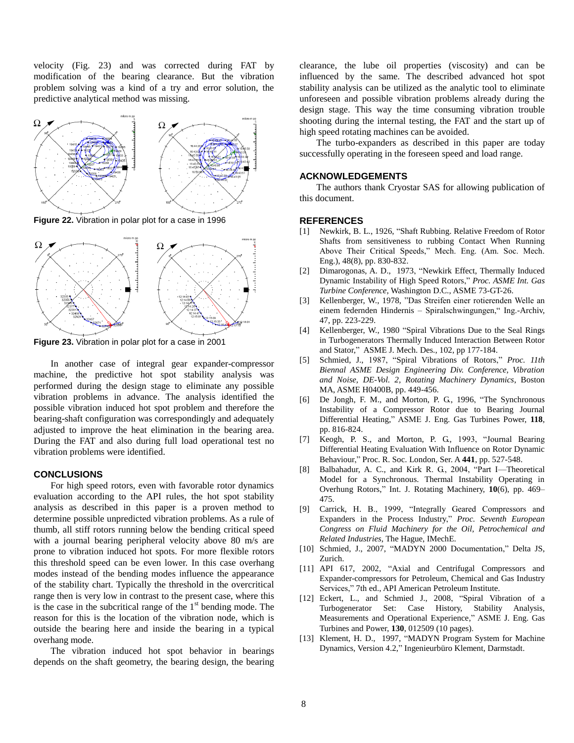velocity (Fig. 23) and was corrected during FAT by modification of the bearing clearance. But the vibration problem solving was a kind of a try and error solution, the predictive analytical method was missing.



**Figure 22.** Vibration in polar plot for a case in 1996



**Figure 23.** Vibration in polar plot for a case in 2001

In another case of integral gear expander-compressor machine, the predictive hot spot stability analysis was performed during the design stage to eliminate any possible vibration problems in advance. The analysis identified the possible vibration induced hot spot problem and therefore the bearing-shaft configuration was correspondingly and adequately adjusted to improve the heat elimination in the bearing area. During the FAT and also during full load operational test no vibration problems were identified.

## **CONCLUSIONS**

For high speed rotors, even with favorable rotor dynamics evaluation according to the API rules, the hot spot stability analysis as described in this paper is a proven method to determine possible unpredicted vibration problems. As a rule of thumb, all stiff rotors running below the bending critical speed with a journal bearing peripheral velocity above 80 m/s are prone to vibration induced hot spots. For more flexible rotors this threshold speed can be even lower. In this case overhang modes instead of the bending modes influence the appearance of the stability chart. Typically the threshold in the overcritical range then is very low in contrast to the present case, where this is the case in the subcritical range of the  $1<sup>st</sup>$  bending mode. The reason for this is the location of the vibration node, which is outside the bearing here and inside the bearing in a typical overhang mode.

The vibration induced hot spot behavior in bearings depends on the shaft geometry, the bearing design, the bearing clearance, the lube oil properties (viscosity) and can be influenced by the same. The described advanced hot spot stability analysis can be utilized as the analytic tool to eliminate unforeseen and possible vibration problems already during the design stage. This way the time consuming vibration trouble shooting during the internal testing, the FAT and the start up of high speed rotating machines can be avoided.

The turbo-expanders as described in this paper are today successfully operating in the foreseen speed and load range.

## **ACKNOWLEDGEMENTS**

The authors thank Cryostar SAS for allowing publication of this document.

#### **REFERENCES**

- [1] Newkirk, B. L., 1926, "Shaft Rubbing. Relative Freedom of Rotor Shafts from sensitiveness to rubbing Contact When Running Above Their Critical Speeds," Mech. Eng. (Am. Soc. Mech. Eng.), 48(8), pp. 830-832.
- [2] Dimarogonas, A. D., 1973, "Newkirk Effect, Thermally Induced Dynamic Instability of High Speed Rotors,‖ *Proc. ASME Int. Gas Turbine Conference*, Washington D.C., ASME 73-GT-26.
- [3] Kellenberger, W., 1978, "Das Streifen einer rotierenden Welle an einem federnden Hindernis – Spiralschwingungen," Ing.-Archiv, 47, pp. 223-229.
- [4] Kellenberger, W., 1980 "Spiral Vibrations Due to the Seal Rings in Turbogenerators Thermally Induced Interaction Between Rotor and Stator," ASME J. Mech. Des., 102, pp 177-184.
- [5] Schmied, J., 1987, "Spiral Vibrations of Rotors," Proc. 11th *Biennal ASME Design Engineering Div. Conference, Vibration and Noise, DE-Vol. 2, Rotating Machinery Dynamics*, Boston MA, ASME H0400B, pp. 449-456.
- [6] De Jongh, F. M., and Morton, P. G., 1996, "The Synchronous Instability of a Compressor Rotor due to Bearing Journal Differential Heating,‖ ASME J. Eng. Gas Turbines Power, **118**, pp. 816-824.
- [7] Keogh, P. S., and Morton, P. G., 1993, "Journal Bearing Differential Heating Evaluation With Influence on Rotor Dynamic Behaviour," Proc. R. Soc. London, Ser. A 441, pp. 527-548.
- [8] Balbahadur, A. C., and Kirk R. G., 2004, "Part I-Theoretical Model for a Synchronous. Thermal Instability Operating in Overhung Rotors," Int. J. Rotating Machinery, 10(6), pp. 469-475.
- [9] Carrick, H. B., 1999, "Integrally Geared Compressors and Expanders in the Process Industry," Proc. Seventh European *Congress on Fluid Machinery for the Oil, Petrochemical and Related Industries*, The Hague, IMechE.
- [10] Schmied, J., 2007, "MADYN 2000 Documentation," Delta JS, Zurich.
- [11] API 617, 2002, "Axial and Centrifugal Compressors and Expander-compressors for Petroleum, Chemical and Gas Industry Services," 7th ed., API American Petroleum Institute.
- [12] Eckert, L., and Schmied J., 2008, "Spiral Vibration of a Turbogenerator Set: Case History, Stability Analysis, Measurements and Operational Experience," ASME J. Eng. Gas Turbines and Power, **130**, 012509 (10 pages).
- [13] Klement, H. D., 1997, "MADYN Program System for Machine Dynamics, Version 4.2," Ingenieurbüro Klement, Darmstadt.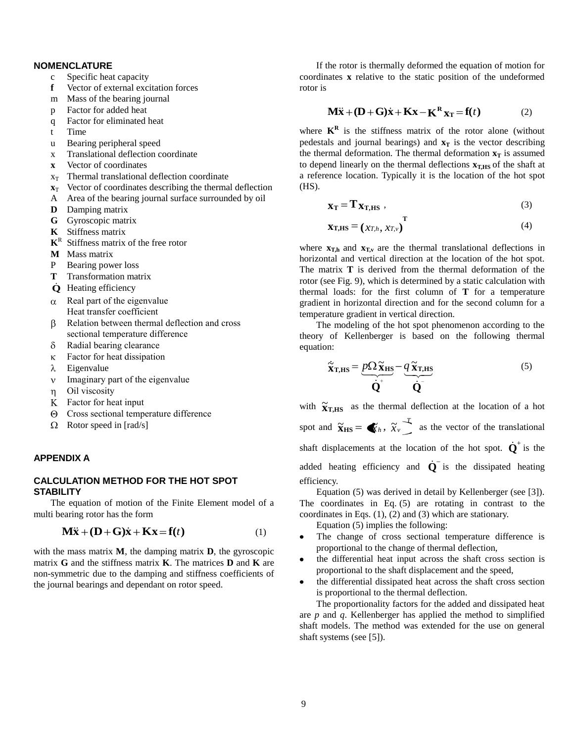### **NOMENCLATURE**

- c Specific heat capacity
- **f** Vector of external excitation forces
- m Mass of the bearing journal
- p Factor for added heat
- q Factor for eliminated heat
- t Time
- u Bearing peripheral speed
- x Translational deflection coordinate
- **x** Vector of coordinates
- $x_T$  Thermal translational deflection coordinate
- $\mathbf{x}_T$  Vector of coordinates describing the thermal deflection
- A Area of the bearing journal surface surrounded by oil
- **D** Damping matrix
- **G** Gyroscopic matrix
- **K** Stiffness matrix
- **K** R Stiffness matrix of the free rotor
- **M** Mass matrix
- P Bearing power loss
- **T** Transformation matrix
- **Q** Heating efficiency
- Real part of the eigenvalue  $\alpha$ Heat transfer coefficient
- $\beta$ Relation between thermal deflection and cross sectional temperature difference
- $\delta$ Radial bearing clearance
- Factor for heat dissipation  $\kappa$
- Eigenvalue λ
- $\mathbf{v}$ Imaginary part of the eigenvalue
- Oil viscosity  $\mathsf{n}$
- Factor for heat input K
- $\Theta$ Cross sectional temperature difference
- $\Omega$  Rotor speed in [rad/s]

# **APPENDIX A**

# **CALCULATION METHOD FOR THE HOT SPOT STABILITY**

The equation of motion of the Finite Element model of a multi bearing rotor has the form

$$
\mathbf{M}\ddot{\mathbf{x}} + (\mathbf{D} + \mathbf{G})\dot{\mathbf{x}} + \mathbf{K}\mathbf{x} = \mathbf{f}(t) \tag{1}
$$

with the mass matrix **M**, the damping matrix **D**, the gyroscopic matrix **G** and the stiffness matrix **K**. The matrices **D** and **K** are non-symmetric due to the damping and stiffness coefficients of the journal bearings and dependant on rotor speed.

If the rotor is thermally deformed the equation of motion for coordinates **x** relative to the static position of the undeformed rotor is

$$
\mathbf{M}\ddot{\mathbf{x}} + (\mathbf{D} + \mathbf{G})\dot{\mathbf{x}} + \mathbf{K}\mathbf{x} - \mathbf{K}^{\mathbf{R}}\mathbf{x}_{\mathbf{T}} = \mathbf{f}(t) \tag{2}
$$

where  $K^R$  is the stiffness matrix of the rotor alone (without pedestals and journal bearings) and  $\mathbf{x}_T$  is the vector describing the thermal deformation. The thermal deformation  $\mathbf{x}_T$  is assumed to depend linearly on the thermal deflections  $\mathbf{x}_{\text{THS}}$  of the shaft at a reference location. Typically it is the location of the hot spot (HS).

**T**

$$
\mathbf{x}_{\mathrm{T}} = \mathbf{T}_{\mathbf{X}\mathrm{T},\mathbf{H}\mathbf{S}} \tag{3}
$$

$$
\mathbf{x}_{\mathrm{T,HS}} = (x_{\mathrm{T},h}, x_{\mathrm{T},v})
$$
 (4)

where  $\mathbf{x}_{\text{T,h}}$  and  $\mathbf{x}_{\text{T,v}}$  are the thermal translational deflections in horizontal and vertical direction at the location of the hot spot. The matrix **T** is derived from the thermal deformation of the rotor (see Fig. 9), which is determined by a static calculation with thermal loads: for the first column of **T** for a temperature gradient in horizontal direction and for the second column for a temperature gradient in vertical direction.

The modeling of the hot spot phenomenon according to the theory of Kellenberger is based on the following thermal equation:

$$
\dot{\tilde{\mathbf{x}}}_{\text{T,HS}} = \underbrace{p\Omega \tilde{\mathbf{x}}_{\text{HS}}}_{\dot{\mathbf{Q}}^+} - \underbrace{q \tilde{\mathbf{x}}_{\text{T,HS}}}_{\dot{\mathbf{Q}}^-}
$$
\n<sup>(5)</sup>

with  $\tilde{\mathbf{x}}_{\text{T,HS}}$  as the thermal deflection at the location of a hot spot and  $\widetilde{\mathbf{x}}_{\text{HS}} = \widetilde{\mathbf{x}}_h$ ,  $\widetilde{x}_v \overset{\mathcal{T}}{\longrightarrow}$  as the vector of the translational shaft displacements at the location of the hot spot.  $\dot{Q}^+$  is the added heating efficiency and  $\dot{Q}$  is the dissipated heating efficiency.

Equation (5) was derived in detail by Kellenberger (see [3]). The coordinates in Eq. (5) are rotating in contrast to the coordinates in Eqs. (1), (2) and (3) which are stationary.

Equation (5) implies the following:

- The change of cross sectional temperature difference is proportional to the change of thermal deflection,
- the differential heat input across the shaft cross section is proportional to the shaft displacement and the speed,
- the differential dissipated heat across the shaft cross section is proportional to the thermal deflection.

The proportionality factors for the added and dissipated heat are *p* and *q*. Kellenberger has applied the method to simplified shaft models. The method was extended for the use on general shaft systems (see [5]).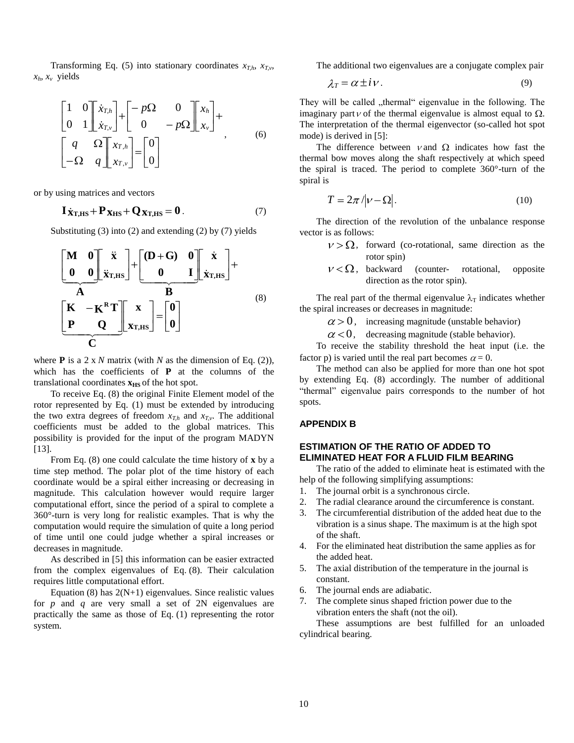Transforming Eq. (5) into stationary coordinates  $x_{T,h}$ ,  $x_{T,v}$ , *xh, x<sup>v</sup>* yields

$$
\begin{bmatrix} 1 & 0 \ 0 & 1 \end{bmatrix} \begin{bmatrix} \dot{x}_{T,h} \\ \dot{x}_{T,v} \end{bmatrix} + \begin{bmatrix} -p\Omega & 0 \\ 0 & -p\Omega \end{bmatrix} \begin{bmatrix} x_h \\ x_v \end{bmatrix} + \begin{bmatrix} q & \Omega \\ -\Omega & q \end{bmatrix} \begin{bmatrix} x_{T,h} \\ x_{T,v} \end{bmatrix} = \begin{bmatrix} 0 \\ 0 \end{bmatrix}
$$
 (6)

or by using matrices and vectors

$$
I\dot{\mathbf{x}}_{T,HS} + P\mathbf{x}_{HS} + Q\mathbf{x}_{T,HS} = 0.
$$
 (7)

Substituting (3) into (2) and extending (2) by (7) yields

$$
\left[\begin{array}{cc}\n\mathbf{M} & \mathbf{0} \\
\mathbf{0} & \mathbf{0}\n\end{array}\right]\n\begin{array}{c}\n\ddot{\mathbf{x}} \\
\ddot{\mathbf{x}}_{\text{T,HS}}\n\end{array}\n+\n\left[\begin{array}{cc}\n\mathbf{O} + \mathbf{G} & \mathbf{0} \\
\mathbf{0} & \mathbf{I}\n\end{array}\right]\n\begin{array}{c}\n\ddot{\mathbf{x}} \\
\dot{\mathbf{x}}_{\text{T,HS}}\n\end{array}\n+\n\left[\begin{array}{c}\n\mathbf{K} & -\mathbf{K}^R \mathbf{T} \\
\mathbf{0} & \mathbf{I}\n\end{array}\right]\n\begin{array}{c}\n\ddot{\mathbf{x}} \\
\mathbf{E} \\
\mathbf{0}\n\end{array}\n\end{array} \tag{8}
$$

where **P** is a 2 x N matrix (with N as the dimension of Eq. (2)), which has the coefficients of **P** at the columns of the translational coordinates  $\mathbf{x}_{\text{HS}}$  of the hot spot.

To receive Eq. (8) the original Finite Element model of the rotor represented by Eq. (1) must be extended by introducing the two extra degrees of freedom  $x_{T,h}$  and  $x_{T,v}$ . The additional coefficients must be added to the global matrices. This possibility is provided for the input of the program MADYN [13].

From Eq. (8) one could calculate the time history of **x** by a time step method. The polar plot of the time history of each coordinate would be a spiral either increasing or decreasing in magnitude. This calculation however would require larger computational effort, since the period of a spiral to complete a 360°-turn is very long for realistic examples. That is why the computation would require the simulation of quite a long period of time until one could judge whether a spiral increases or decreases in magnitude.

As described in [5] this information can be easier extracted from the complex eigenvalues of Eq. (8). Their calculation requires little computational effort.

Equation (8) has  $2(N+1)$  eigenvalues. Since realistic values for *p* and *q* are very small a set of 2N eigenvalues are practically the same as those of Eq. (1) representing the rotor system.

The additional two eigenvalues are a conjugate complex pair

$$
\lambda_T = \alpha \pm i \nu. \tag{9}
$$

They will be called "thermal" eigenvalue in the following. The imaginary part  $\nu$  of the thermal eigenvalue is almost equal to  $\Omega$ . The interpretation of the thermal eigenvector (so-called hot spot mode) is derived in [5]:

The difference between  $\nu$  and  $\Omega$  indicates how fast the thermal bow moves along the shaft respectively at which speed the spiral is traced. The period to complete 360°-turn of the spiral is

$$
T = 2\pi / |\nu - \Omega|.
$$
 (10)

The direction of the revolution of the unbalance response vector is as follows:

- $v > \Omega$ , forward (co-rotational, same direction as the rotor spin)
- $v < \Omega$ , backward (counter- rotational, opposite direction as the rotor spin).

The real part of the thermal eigenvalue  $\lambda_T$  indicates whether the spiral increases or decreases in magnitude:

- $\alpha$  > 0, increasing magnitude (unstable behavior)
- $\alpha$  < 0, decreasing magnitude (stable behavior).

To receive the stability threshold the heat input (i.e. the factor p) is varied until the real part becomes  $\alpha = 0$ .

The method can also be applied for more than one hot spot by extending Eq. (8) accordingly. The number of additional "thermal" eigenvalue pairs corresponds to the number of hot spots.

### **APPENDIX B**

# **ESTIMATION OF THE RATIO OF ADDED TO ELIMINATED HEAT FOR A FLUID FILM BEARING**

The ratio of the added to eliminate heat is estimated with the help of the following simplifying assumptions:

- 1. The journal orbit is a synchronous circle.
- 2. The radial clearance around the circumference is constant.
- 3. The circumferential distribution of the added heat due to the vibration is a sinus shape. The maximum is at the high spot of the shaft.
- 4. For the eliminated heat distribution the same applies as for the added heat.
- 5. The axial distribution of the temperature in the journal is constant.
- 6. The journal ends are adiabatic.
- 7. The complete sinus shaped friction power due to the vibration enters the shaft (not the oil).

These assumptions are best fulfilled for an unloaded cylindrical bearing.